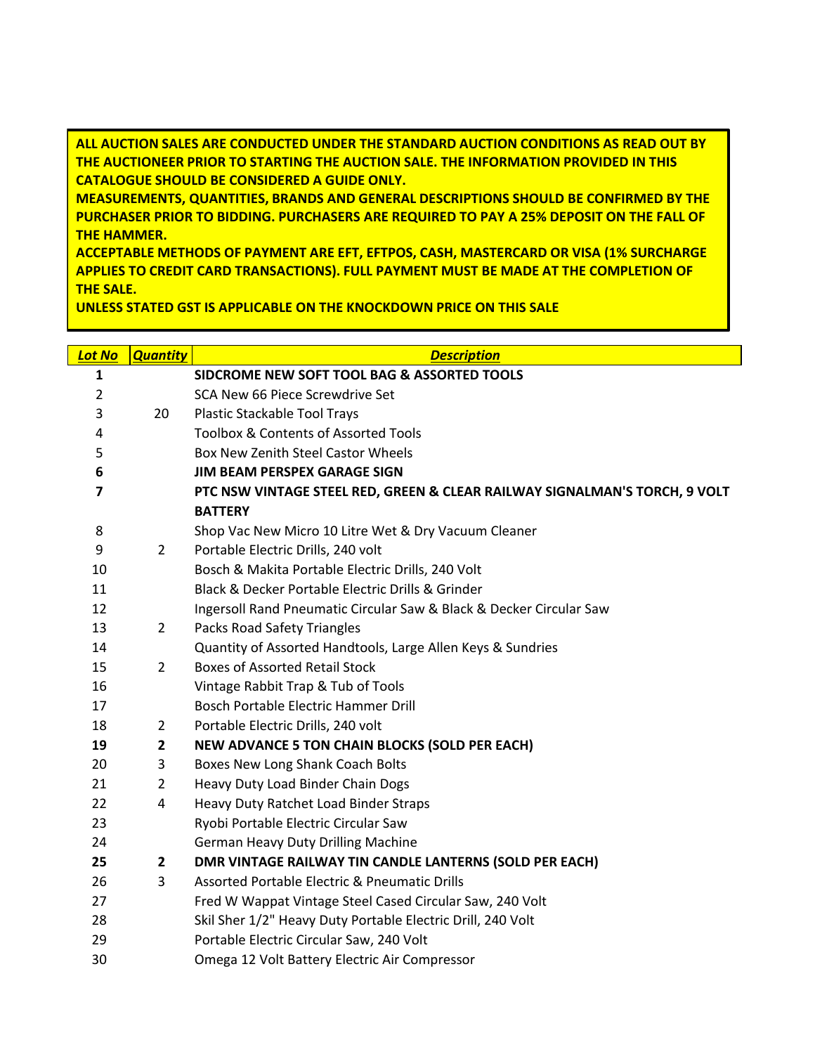**ALL AUCTION SALES ARE CONDUCTED UNDER THE STANDARD AUCTION CONDITIONS AS READ OUT BY THE AUCTIONEER PRIOR TO STARTING THE AUCTION SALE. THE INFORMATION PROVIDED IN THIS CATALOGUE SHOULD BE CONSIDERED A GUIDE ONLY.** 

**MEASUREMENTS, QUANTITIES, BRANDS AND GENERAL DESCRIPTIONS SHOULD BE CONFIRMED BY THE PURCHASER PRIOR TO BIDDING. PURCHASERS ARE REQUIRED TO PAY A 25% DEPOSIT ON THE FALL OF THE HAMMER.** 

**ACCEPTABLE METHODS OF PAYMENT ARE EFT, EFTPOS, CASH, MASTERCARD OR VISA (1% SURCHARGE APPLIES TO CREDIT CARD TRANSACTIONS). FULL PAYMENT MUST BE MADE AT THE COMPLETION OF THE SALE.** 

**UNLESS STATED GST IS APPLICABLE ON THE KNOCKDOWN PRICE ON THIS SALE**

| <b>Lot No</b>  | <b>Quantity</b> | <b>Description</b>                                                         |
|----------------|-----------------|----------------------------------------------------------------------------|
| 1              |                 | SIDCROME NEW SOFT TOOL BAG & ASSORTED TOOLS                                |
| $\overline{2}$ |                 | SCA New 66 Piece Screwdrive Set                                            |
| 3              | 20              | Plastic Stackable Tool Trays                                               |
| 4              |                 | Toolbox & Contents of Assorted Tools                                       |
| 5              |                 | <b>Box New Zenith Steel Castor Wheels</b>                                  |
| 6              |                 | <b>JIM BEAM PERSPEX GARAGE SIGN</b>                                        |
| $\overline{7}$ |                 | PTC NSW VINTAGE STEEL RED, GREEN & CLEAR RAILWAY SIGNALMAN'S TORCH, 9 VOLT |
|                |                 | <b>BATTERY</b>                                                             |
| 8              |                 | Shop Vac New Micro 10 Litre Wet & Dry Vacuum Cleaner                       |
| 9              | $\overline{2}$  | Portable Electric Drills, 240 volt                                         |
| 10             |                 | Bosch & Makita Portable Electric Drills, 240 Volt                          |
| 11             |                 | Black & Decker Portable Electric Drills & Grinder                          |
| 12             |                 | Ingersoll Rand Pneumatic Circular Saw & Black & Decker Circular Saw        |
| 13             | $\overline{2}$  | <b>Packs Road Safety Triangles</b>                                         |
| 14             |                 | Quantity of Assorted Handtools, Large Allen Keys & Sundries                |
| 15             | $\overline{2}$  | <b>Boxes of Assorted Retail Stock</b>                                      |
| 16             |                 | Vintage Rabbit Trap & Tub of Tools                                         |
| 17             |                 | Bosch Portable Electric Hammer Drill                                       |
| 18             | $\overline{2}$  | Portable Electric Drills, 240 volt                                         |
| 19             | $\mathbf{2}$    | <b>NEW ADVANCE 5 TON CHAIN BLOCKS (SOLD PER EACH)</b>                      |
| 20             | 3               | Boxes New Long Shank Coach Bolts                                           |
| 21             | $\overline{2}$  | Heavy Duty Load Binder Chain Dogs                                          |
| 22             | 4               | Heavy Duty Ratchet Load Binder Straps                                      |
| 23             |                 | Ryobi Portable Electric Circular Saw                                       |
| 24             |                 | <b>German Heavy Duty Drilling Machine</b>                                  |
| 25             | $\mathbf{2}$    | DMR VINTAGE RAILWAY TIN CANDLE LANTERNS (SOLD PER EACH)                    |
| 26             | 3               | Assorted Portable Electric & Pneumatic Drills                              |
| 27             |                 | Fred W Wappat Vintage Steel Cased Circular Saw, 240 Volt                   |
| 28             |                 | Skil Sher 1/2" Heavy Duty Portable Electric Drill, 240 Volt                |
| 29             |                 | Portable Electric Circular Saw, 240 Volt                                   |
| 30             |                 | Omega 12 Volt Battery Electric Air Compressor                              |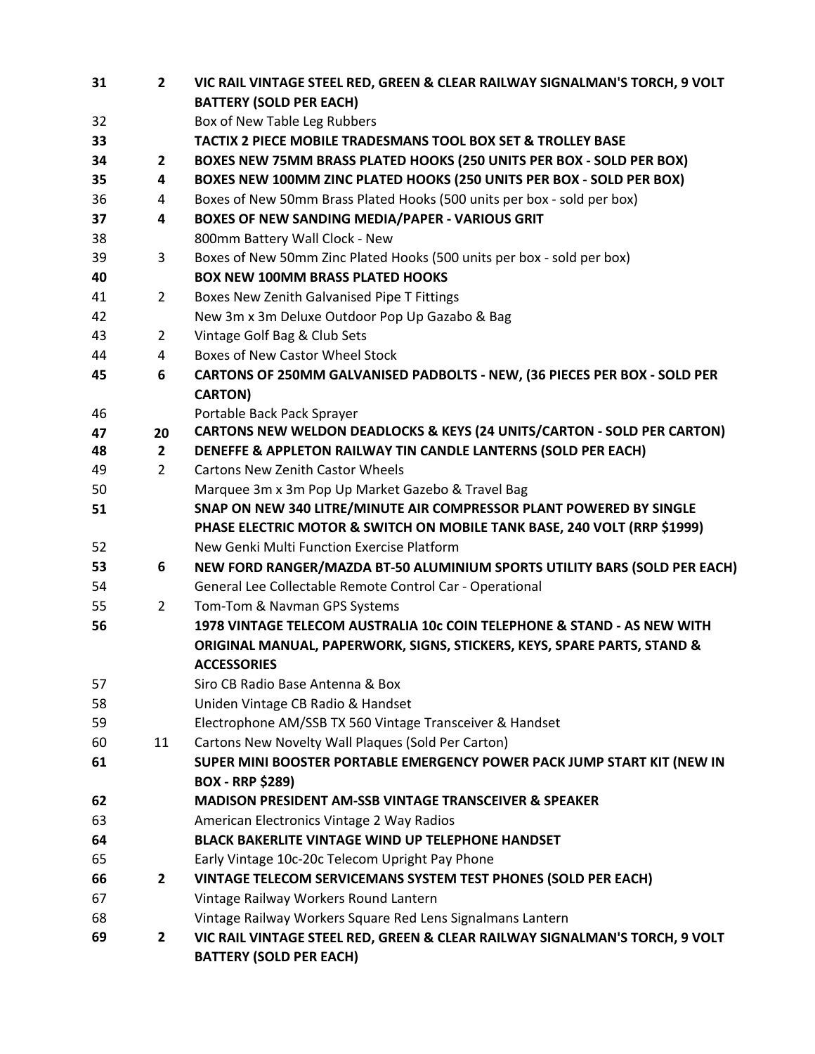| 31 | $\overline{2}$ | VIC RAIL VINTAGE STEEL RED, GREEN & CLEAR RAILWAY SIGNALMAN'S TORCH, 9 VOLT        |
|----|----------------|------------------------------------------------------------------------------------|
|    |                | <b>BATTERY (SOLD PER EACH)</b>                                                     |
| 32 |                | Box of New Table Leg Rubbers                                                       |
| 33 |                | TACTIX 2 PIECE MOBILE TRADESMANS TOOL BOX SET & TROLLEY BASE                       |
| 34 | $\mathbf{2}$   | BOXES NEW 75MM BRASS PLATED HOOKS (250 UNITS PER BOX - SOLD PER BOX)               |
| 35 | 4              | BOXES NEW 100MM ZINC PLATED HOOKS (250 UNITS PER BOX - SOLD PER BOX)               |
| 36 | 4              | Boxes of New 50mm Brass Plated Hooks (500 units per box - sold per box)            |
| 37 | 4              | BOXES OF NEW SANDING MEDIA/PAPER - VARIOUS GRIT                                    |
| 38 |                | 800mm Battery Wall Clock - New                                                     |
| 39 | 3              | Boxes of New 50mm Zinc Plated Hooks (500 units per box - sold per box)             |
| 40 |                | <b>BOX NEW 100MM BRASS PLATED HOOKS</b>                                            |
| 41 | $\overline{2}$ | Boxes New Zenith Galvanised Pipe T Fittings                                        |
| 42 |                | New 3m x 3m Deluxe Outdoor Pop Up Gazabo & Bag                                     |
| 43 | $\overline{2}$ | Vintage Golf Bag & Club Sets                                                       |
| 44 | 4              | <b>Boxes of New Castor Wheel Stock</b>                                             |
| 45 | 6              | CARTONS OF 250MM GALVANISED PADBOLTS - NEW, (36 PIECES PER BOX - SOLD PER          |
|    |                | <b>CARTON)</b>                                                                     |
| 46 |                | Portable Back Pack Sprayer                                                         |
| 47 | 20             | <b>CARTONS NEW WELDON DEADLOCKS &amp; KEYS (24 UNITS/CARTON - SOLD PER CARTON)</b> |
| 48 | $\mathbf{2}$   | DENEFFE & APPLETON RAILWAY TIN CANDLE LANTERNS (SOLD PER EACH)                     |
| 49 | $\overline{2}$ | <b>Cartons New Zenith Castor Wheels</b>                                            |
| 50 |                | Marquee 3m x 3m Pop Up Market Gazebo & Travel Bag                                  |
| 51 |                | SNAP ON NEW 340 LITRE/MINUTE AIR COMPRESSOR PLANT POWERED BY SINGLE                |
|    |                | PHASE ELECTRIC MOTOR & SWITCH ON MOBILE TANK BASE, 240 VOLT (RRP \$1999)           |
| 52 |                | New Genki Multi Function Exercise Platform                                         |
| 53 | 6              | NEW FORD RANGER/MAZDA BT-50 ALUMINIUM SPORTS UTILITY BARS (SOLD PER EACH)          |
| 54 |                | General Lee Collectable Remote Control Car - Operational                           |
| 55 | $\overline{2}$ | Tom-Tom & Navman GPS Systems                                                       |
| 56 |                | 1978 VINTAGE TELECOM AUSTRALIA 10c COIN TELEPHONE & STAND - AS NEW WITH            |
|    |                | ORIGINAL MANUAL, PAPERWORK, SIGNS, STICKERS, KEYS, SPARE PARTS, STAND &            |
|    |                | <b>ACCESSORIES</b>                                                                 |
| 57 |                | Siro CB Radio Base Antenna & Box                                                   |
| 58 |                | Uniden Vintage CB Radio & Handset                                                  |
| 59 |                | Electrophone AM/SSB TX 560 Vintage Transceiver & Handset                           |
| 60 | 11             | Cartons New Novelty Wall Plaques (Sold Per Carton)                                 |
| 61 |                | SUPER MINI BOOSTER PORTABLE EMERGENCY POWER PACK JUMP START KIT (NEW IN            |
|    |                | <b>BOX - RRP \$289)</b>                                                            |
| 62 |                | <b>MADISON PRESIDENT AM-SSB VINTAGE TRANSCEIVER &amp; SPEAKER</b>                  |
| 63 |                | American Electronics Vintage 2 Way Radios                                          |
| 64 |                | BLACK BAKERLITE VINTAGE WIND UP TELEPHONE HANDSET                                  |
| 65 |                | Early Vintage 10c-20c Telecom Upright Pay Phone                                    |
| 66 | $\mathbf{2}$   | VINTAGE TELECOM SERVICEMANS SYSTEM TEST PHONES (SOLD PER EACH)                     |
| 67 |                | Vintage Railway Workers Round Lantern                                              |
| 68 |                | Vintage Railway Workers Square Red Lens Signalmans Lantern                         |
| 69 | $\mathbf{2}$   | VIC RAIL VINTAGE STEEL RED, GREEN & CLEAR RAILWAY SIGNALMAN'S TORCH, 9 VOLT        |
|    |                | <b>BATTERY (SOLD PER EACH)</b>                                                     |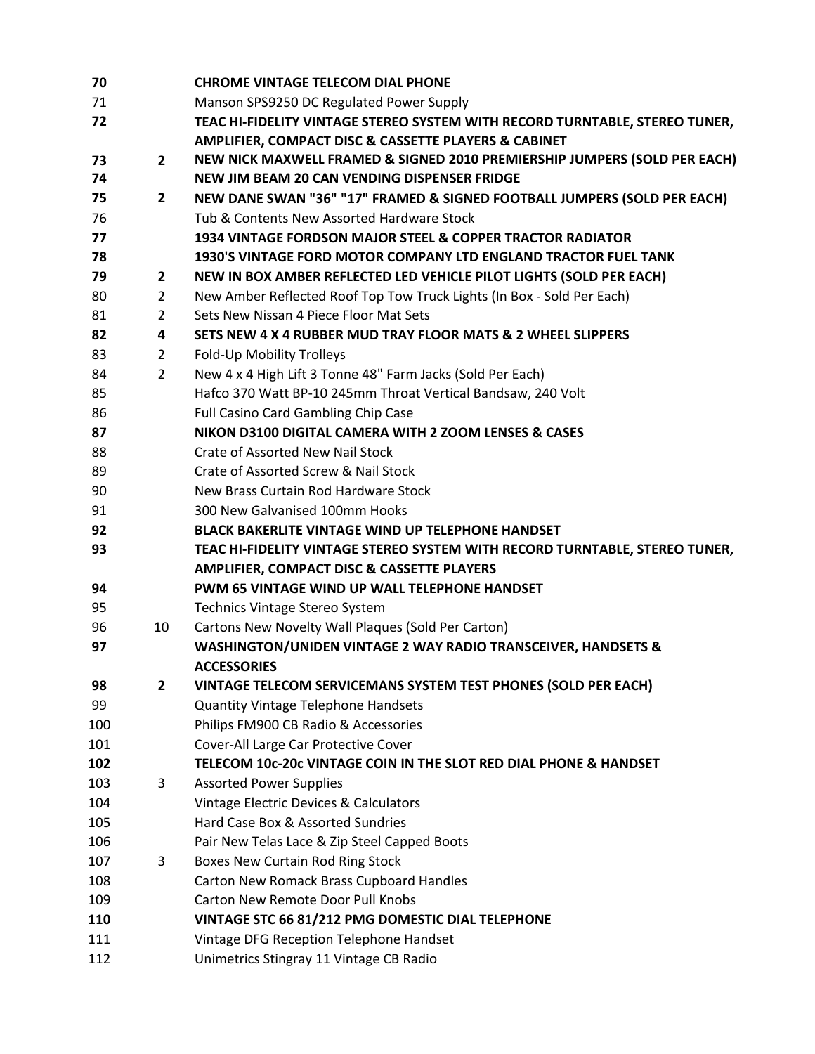| 70  |                | <b>CHROME VINTAGE TELECOM DIAL PHONE</b>                                    |
|-----|----------------|-----------------------------------------------------------------------------|
| 71  |                | Manson SPS9250 DC Regulated Power Supply                                    |
| 72  |                | TEAC HI-FIDELITY VINTAGE STEREO SYSTEM WITH RECORD TURNTABLE, STEREO TUNER, |
|     |                | AMPLIFIER, COMPACT DISC & CASSETTE PLAYERS & CABINET                        |
| 73  | $\mathbf{2}$   | NEW NICK MAXWELL FRAMED & SIGNED 2010 PREMIERSHIP JUMPERS (SOLD PER EACH)   |
| 74  |                | NEW JIM BEAM 20 CAN VENDING DISPENSER FRIDGE                                |
| 75  | $\mathbf{2}$   | NEW DANE SWAN "36" "17" FRAMED & SIGNED FOOTBALL JUMPERS (SOLD PER EACH)    |
| 76  |                | Tub & Contents New Assorted Hardware Stock                                  |
| 77  |                | 1934 VINTAGE FORDSON MAJOR STEEL & COPPER TRACTOR RADIATOR                  |
| 78  |                | 1930'S VINTAGE FORD MOTOR COMPANY LTD ENGLAND TRACTOR FUEL TANK             |
| 79  | $\mathbf{2}$   | NEW IN BOX AMBER REFLECTED LED VEHICLE PILOT LIGHTS (SOLD PER EACH)         |
| 80  | $\overline{2}$ | New Amber Reflected Roof Top Tow Truck Lights (In Box - Sold Per Each)      |
| 81  | $\overline{2}$ | Sets New Nissan 4 Piece Floor Mat Sets                                      |
| 82  | 4              | SETS NEW 4 X 4 RUBBER MUD TRAY FLOOR MATS & 2 WHEEL SLIPPERS                |
| 83  | $\overline{2}$ | Fold-Up Mobility Trolleys                                                   |
| 84  | $\overline{2}$ | New 4 x 4 High Lift 3 Tonne 48" Farm Jacks (Sold Per Each)                  |
| 85  |                | Hafco 370 Watt BP-10 245mm Throat Vertical Bandsaw, 240 Volt                |
| 86  |                | <b>Full Casino Card Gambling Chip Case</b>                                  |
| 87  |                | NIKON D3100 DIGITAL CAMERA WITH 2 ZOOM LENSES & CASES                       |
| 88  |                | <b>Crate of Assorted New Nail Stock</b>                                     |
| 89  |                | Crate of Assorted Screw & Nail Stock                                        |
| 90  |                | New Brass Curtain Rod Hardware Stock                                        |
| 91  |                | 300 New Galvanised 100mm Hooks                                              |
| 92  |                | <b>BLACK BAKERLITE VINTAGE WIND UP TELEPHONE HANDSET</b>                    |
| 93  |                | TEAC HI-FIDELITY VINTAGE STEREO SYSTEM WITH RECORD TURNTABLE, STEREO TUNER, |
|     |                | <b>AMPLIFIER, COMPACT DISC &amp; CASSETTE PLAYERS</b>                       |
| 94  |                | PWM 65 VINTAGE WIND UP WALL TELEPHONE HANDSET                               |
| 95  |                | Technics Vintage Stereo System                                              |
| 96  | 10             | Cartons New Novelty Wall Plaques (Sold Per Carton)                          |
| 97  |                | WASHINGTON/UNIDEN VINTAGE 2 WAY RADIO TRANSCEIVER, HANDSETS &               |
|     |                | <b>ACCESSORIES</b>                                                          |
| 98  | $\mathbf{2}$   | VINTAGE TELECOM SERVICEMANS SYSTEM TEST PHONES (SOLD PER EACH)              |
| 99  |                | <b>Quantity Vintage Telephone Handsets</b>                                  |
| 100 |                | Philips FM900 CB Radio & Accessories                                        |
| 101 |                | Cover-All Large Car Protective Cover                                        |
| 102 |                | TELECOM 10c-20c VINTAGE COIN IN THE SLOT RED DIAL PHONE & HANDSET           |
| 103 | 3              | <b>Assorted Power Supplies</b>                                              |
| 104 |                | Vintage Electric Devices & Calculators                                      |
| 105 |                | Hard Case Box & Assorted Sundries                                           |
| 106 |                | Pair New Telas Lace & Zip Steel Capped Boots                                |
| 107 | 3              | Boxes New Curtain Rod Ring Stock                                            |
| 108 |                | Carton New Romack Brass Cupboard Handles                                    |
| 109 |                | <b>Carton New Remote Door Pull Knobs</b>                                    |
| 110 |                | VINTAGE STC 66 81/212 PMG DOMESTIC DIAL TELEPHONE                           |
| 111 |                | Vintage DFG Reception Telephone Handset                                     |
| 112 |                | Unimetrics Stingray 11 Vintage CB Radio                                     |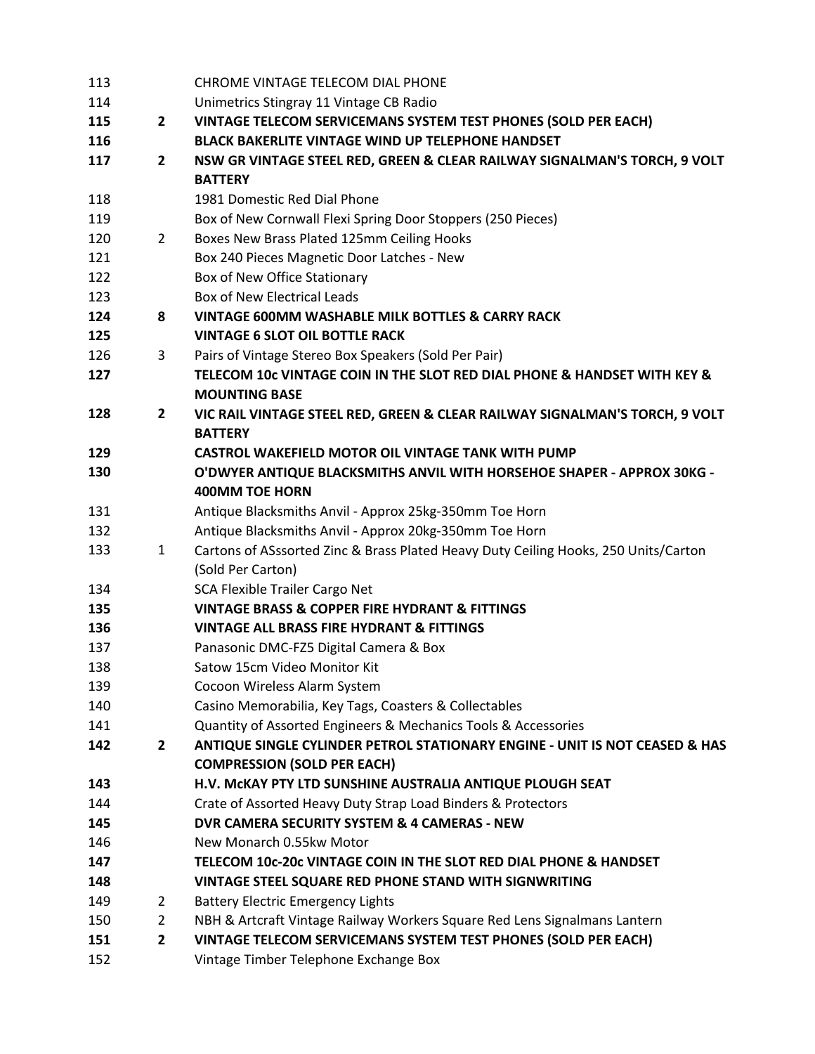| 113 |                | CHROME VINTAGE TELECOM DIAL PHONE                                                   |
|-----|----------------|-------------------------------------------------------------------------------------|
| 114 |                | Unimetrics Stingray 11 Vintage CB Radio                                             |
| 115 | $\mathbf{2}$   | VINTAGE TELECOM SERVICEMANS SYSTEM TEST PHONES (SOLD PER EACH)                      |
| 116 |                | <b>BLACK BAKERLITE VINTAGE WIND UP TELEPHONE HANDSET</b>                            |
| 117 | $\mathbf{2}$   | NSW GR VINTAGE STEEL RED, GREEN & CLEAR RAILWAY SIGNALMAN'S TORCH, 9 VOLT           |
|     |                | <b>BATTERY</b>                                                                      |
| 118 |                | 1981 Domestic Red Dial Phone                                                        |
| 119 |                | Box of New Cornwall Flexi Spring Door Stoppers (250 Pieces)                         |
| 120 | $\overline{2}$ | Boxes New Brass Plated 125mm Ceiling Hooks                                          |
| 121 |                | Box 240 Pieces Magnetic Door Latches - New                                          |
| 122 |                | Box of New Office Stationary                                                        |
| 123 |                | <b>Box of New Electrical Leads</b>                                                  |
| 124 | 8              | VINTAGE 600MM WASHABLE MILK BOTTLES & CARRY RACK                                    |
| 125 |                | <b>VINTAGE 6 SLOT OIL BOTTLE RACK</b>                                               |
| 126 | 3              | Pairs of Vintage Stereo Box Speakers (Sold Per Pair)                                |
| 127 |                | TELECOM 10c VINTAGE COIN IN THE SLOT RED DIAL PHONE & HANDSET WITH KEY &            |
|     |                | <b>MOUNTING BASE</b>                                                                |
| 128 | $\mathbf{2}$   | VIC RAIL VINTAGE STEEL RED, GREEN & CLEAR RAILWAY SIGNALMAN'S TORCH, 9 VOLT         |
|     |                | <b>BATTERY</b>                                                                      |
| 129 |                | <b>CASTROL WAKEFIELD MOTOR OIL VINTAGE TANK WITH PUMP</b>                           |
| 130 |                | O'DWYER ANTIQUE BLACKSMITHS ANVIL WITH HORSEHOE SHAPER - APPROX 30KG -              |
|     |                | <b>400MM TOE HORN</b>                                                               |
| 131 |                | Antique Blacksmiths Anvil - Approx 25kg-350mm Toe Horn                              |
| 132 |                | Antique Blacksmiths Anvil - Approx 20kg-350mm Toe Horn                              |
| 133 | $\mathbf{1}$   | Cartons of ASssorted Zinc & Brass Plated Heavy Duty Ceiling Hooks, 250 Units/Carton |
|     |                | (Sold Per Carton)                                                                   |
| 134 |                | <b>SCA Flexible Trailer Cargo Net</b>                                               |
| 135 |                | <b>VINTAGE BRASS &amp; COPPER FIRE HYDRANT &amp; FITTINGS</b>                       |
| 136 |                | <b>VINTAGE ALL BRASS FIRE HYDRANT &amp; FITTINGS</b>                                |
| 137 |                | Panasonic DMC-FZ5 Digital Camera & Box                                              |
| 138 |                | Satow 15cm Video Monitor Kit                                                        |
| 139 |                | Cocoon Wireless Alarm System                                                        |
| 140 |                | Casino Memorabilia, Key Tags, Coasters & Collectables                               |
| 141 |                | Quantity of Assorted Engineers & Mechanics Tools & Accessories                      |
| 142 | $\overline{2}$ | ANTIQUE SINGLE CYLINDER PETROL STATIONARY ENGINE - UNIT IS NOT CEASED & HAS         |
|     |                | <b>COMPRESSION (SOLD PER EACH)</b>                                                  |
| 143 |                | H.V. MCKAY PTY LTD SUNSHINE AUSTRALIA ANTIQUE PLOUGH SEAT                           |
| 144 |                | Crate of Assorted Heavy Duty Strap Load Binders & Protectors                        |
| 145 |                | DVR CAMERA SECURITY SYSTEM & 4 CAMERAS - NEW                                        |
| 146 |                | New Monarch 0.55kw Motor                                                            |
| 147 |                | TELECOM 10c-20c VINTAGE COIN IN THE SLOT RED DIAL PHONE & HANDSET                   |
| 148 |                | VINTAGE STEEL SQUARE RED PHONE STAND WITH SIGNWRITING                               |
| 149 | 2              | <b>Battery Electric Emergency Lights</b>                                            |
| 150 | $\overline{2}$ | NBH & Artcraft Vintage Railway Workers Square Red Lens Signalmans Lantern           |
| 151 | 2              | VINTAGE TELECOM SERVICEMANS SYSTEM TEST PHONES (SOLD PER EACH)                      |
| 152 |                | Vintage Timber Telephone Exchange Box                                               |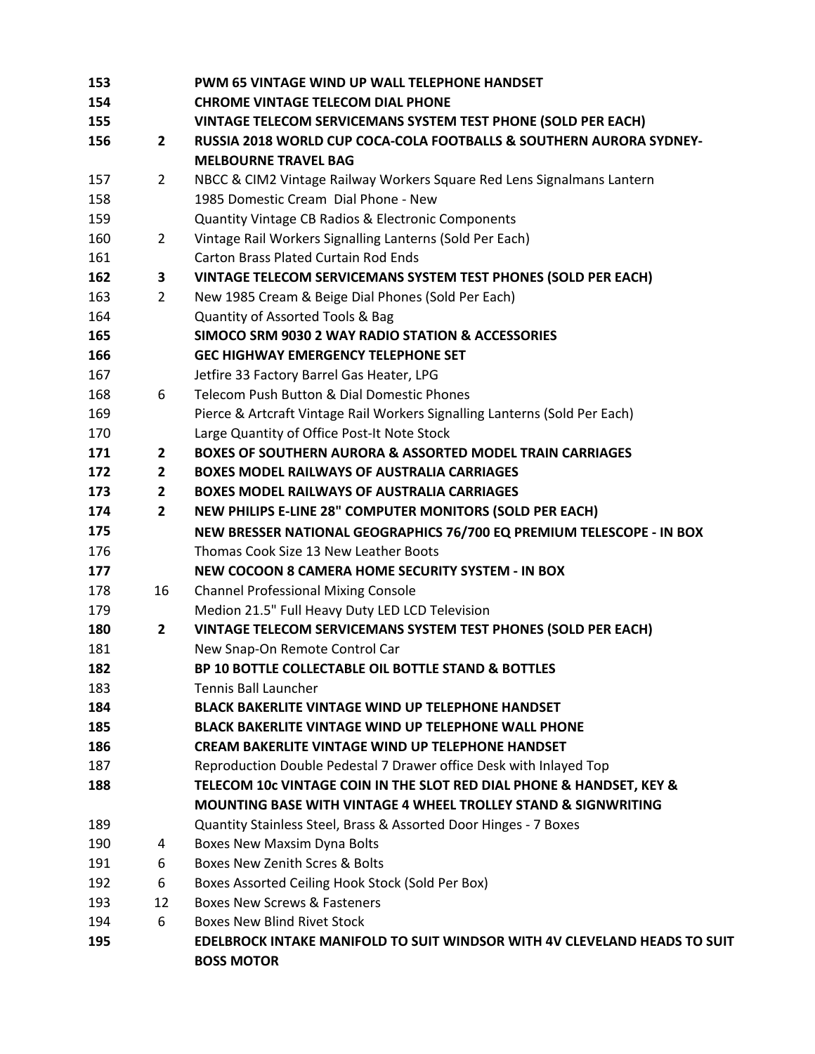| 153 |                | PWM 65 VINTAGE WIND UP WALL TELEPHONE HANDSET                              |
|-----|----------------|----------------------------------------------------------------------------|
| 154 |                | <b>CHROME VINTAGE TELECOM DIAL PHONE</b>                                   |
| 155 |                | VINTAGE TELECOM SERVICEMANS SYSTEM TEST PHONE (SOLD PER EACH)              |
| 156 | 2              | RUSSIA 2018 WORLD CUP COCA-COLA FOOTBALLS & SOUTHERN AURORA SYDNEY-        |
|     |                | <b>MELBOURNE TRAVEL BAG</b>                                                |
| 157 | $\overline{2}$ | NBCC & CIM2 Vintage Railway Workers Square Red Lens Signalmans Lantern     |
| 158 |                | 1985 Domestic Cream Dial Phone - New                                       |
| 159 |                | Quantity Vintage CB Radios & Electronic Components                         |
| 160 | 2              | Vintage Rail Workers Signalling Lanterns (Sold Per Each)                   |
| 161 |                | <b>Carton Brass Plated Curtain Rod Ends</b>                                |
| 162 | 3              | VINTAGE TELECOM SERVICEMANS SYSTEM TEST PHONES (SOLD PER EACH)             |
| 163 | 2              | New 1985 Cream & Beige Dial Phones (Sold Per Each)                         |
| 164 |                | Quantity of Assorted Tools & Bag                                           |
| 165 |                | SIMOCO SRM 9030 2 WAY RADIO STATION & ACCESSORIES                          |
| 166 |                | <b>GEC HIGHWAY EMERGENCY TELEPHONE SET</b>                                 |
| 167 |                | Jetfire 33 Factory Barrel Gas Heater, LPG                                  |
| 168 | 6              | Telecom Push Button & Dial Domestic Phones                                 |
| 169 |                | Pierce & Artcraft Vintage Rail Workers Signalling Lanterns (Sold Per Each) |
| 170 |                | Large Quantity of Office Post-It Note Stock                                |
| 171 | $\mathbf{2}$   | <b>BOXES OF SOUTHERN AURORA &amp; ASSORTED MODEL TRAIN CARRIAGES</b>       |
| 172 | $\mathbf{2}$   | <b>BOXES MODEL RAILWAYS OF AUSTRALIA CARRIAGES</b>                         |
| 173 | $\mathbf{2}$   | <b>BOXES MODEL RAILWAYS OF AUSTRALIA CARRIAGES</b>                         |
| 174 | $\mathbf{2}$   | NEW PHILIPS E-LINE 28" COMPUTER MONITORS (SOLD PER EACH)                   |
| 175 |                | NEW BRESSER NATIONAL GEOGRAPHICS 76/700 EQ PREMIUM TELESCOPE - IN BOX      |
| 176 |                | Thomas Cook Size 13 New Leather Boots                                      |
| 177 |                | NEW COCOON 8 CAMERA HOME SECURITY SYSTEM - IN BOX                          |
| 178 | 16             | <b>Channel Professional Mixing Console</b>                                 |
| 179 |                | Medion 21.5" Full Heavy Duty LED LCD Television                            |
| 180 | $\mathbf{2}$   | VINTAGE TELECOM SERVICEMANS SYSTEM TEST PHONES (SOLD PER EACH)             |
| 181 |                | New Snap-On Remote Control Car                                             |
| 182 |                | BP 10 BOTTLE COLLECTABLE OIL BOTTLE STAND & BOTTLES                        |
| 183 |                | <b>Tennis Ball Launcher</b>                                                |
| 184 |                | <b>BLACK BAKERLITE VINTAGE WIND UP TELEPHONE HANDSET</b>                   |
| 185 |                | <b>BLACK BAKERLITE VINTAGE WIND UP TELEPHONE WALL PHONE</b>                |
| 186 |                | <b>CREAM BAKERLITE VINTAGE WIND UP TELEPHONE HANDSET</b>                   |
| 187 |                | Reproduction Double Pedestal 7 Drawer office Desk with Inlayed Top         |
| 188 |                | TELECOM 10c VINTAGE COIN IN THE SLOT RED DIAL PHONE & HANDSET, KEY &       |
|     |                | <b>MOUNTING BASE WITH VINTAGE 4 WHEEL TROLLEY STAND &amp; SIGNWRITING</b>  |
| 189 |                | Quantity Stainless Steel, Brass & Assorted Door Hinges - 7 Boxes           |
| 190 | 4              | <b>Boxes New Maxsim Dyna Bolts</b>                                         |
| 191 | 6              | Boxes New Zenith Scres & Bolts                                             |
| 192 | 6              | Boxes Assorted Ceiling Hook Stock (Sold Per Box)                           |
| 193 | 12             | <b>Boxes New Screws &amp; Fasteners</b>                                    |
| 194 | 6              | <b>Boxes New Blind Rivet Stock</b>                                         |
| 195 |                | EDELBROCK INTAKE MANIFOLD TO SUIT WINDSOR WITH 4V CLEVELAND HEADS TO SUIT  |
|     |                | <b>BOSS MOTOR</b>                                                          |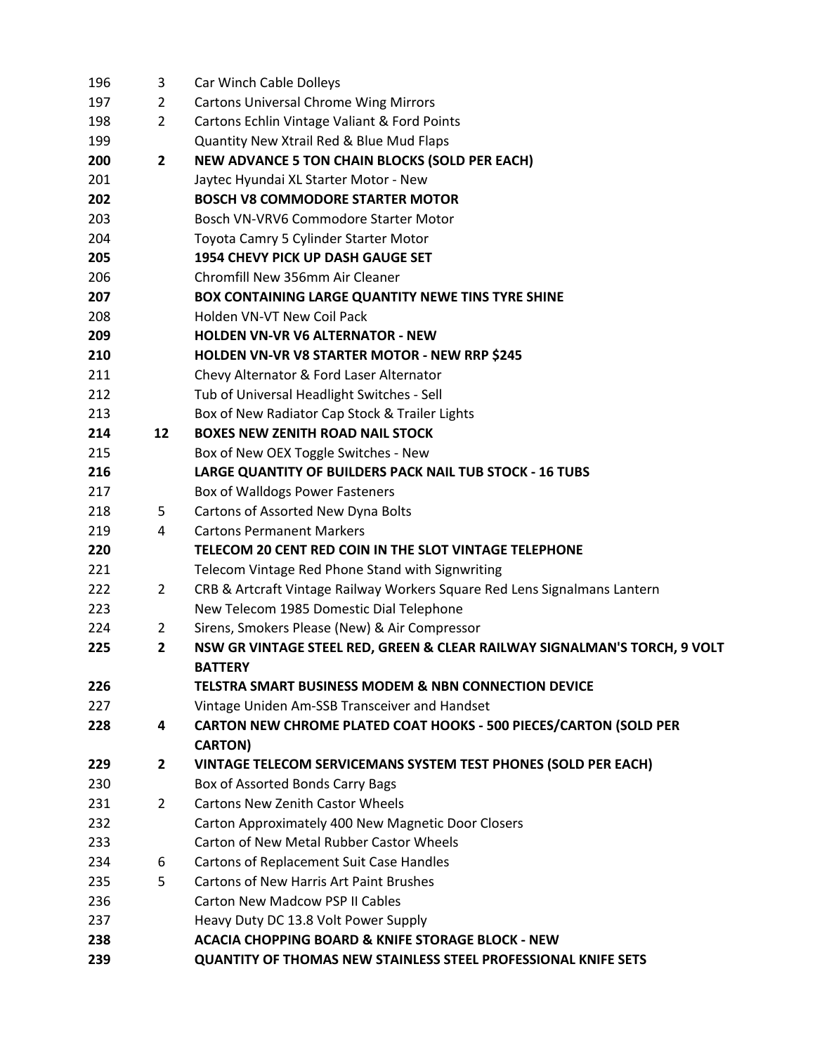| 196 | 3              | Car Winch Cable Dolleys                                                   |
|-----|----------------|---------------------------------------------------------------------------|
| 197 | 2              | <b>Cartons Universal Chrome Wing Mirrors</b>                              |
| 198 | $\overline{2}$ | Cartons Echlin Vintage Valiant & Ford Points                              |
| 199 |                | Quantity New Xtrail Red & Blue Mud Flaps                                  |
| 200 | $\overline{2}$ | <b>NEW ADVANCE 5 TON CHAIN BLOCKS (SOLD PER EACH)</b>                     |
| 201 |                | Jaytec Hyundai XL Starter Motor - New                                     |
| 202 |                | <b>BOSCH V8 COMMODORE STARTER MOTOR</b>                                   |
| 203 |                | Bosch VN-VRV6 Commodore Starter Motor                                     |
| 204 |                | Toyota Camry 5 Cylinder Starter Motor                                     |
| 205 |                | 1954 CHEVY PICK UP DASH GAUGE SET                                         |
| 206 |                | Chromfill New 356mm Air Cleaner                                           |
| 207 |                | <b>BOX CONTAINING LARGE QUANTITY NEWE TINS TYRE SHINE</b>                 |
| 208 |                | Holden VN-VT New Coil Pack                                                |
| 209 |                | <b>HOLDEN VN-VR V6 ALTERNATOR - NEW</b>                                   |
| 210 |                | <b>HOLDEN VN-VR V8 STARTER MOTOR - NEW RRP \$245</b>                      |
| 211 |                | Chevy Alternator & Ford Laser Alternator                                  |
| 212 |                | Tub of Universal Headlight Switches - Sell                                |
| 213 |                | Box of New Radiator Cap Stock & Trailer Lights                            |
| 214 | 12             | <b>BOXES NEW ZENITH ROAD NAIL STOCK</b>                                   |
| 215 |                | Box of New OEX Toggle Switches - New                                      |
| 216 |                | LARGE QUANTITY OF BUILDERS PACK NAIL TUB STOCK - 16 TUBS                  |
| 217 |                | Box of Walldogs Power Fasteners                                           |
| 218 | 5              | Cartons of Assorted New Dyna Bolts                                        |
| 219 | 4              | <b>Cartons Permanent Markers</b>                                          |
| 220 |                | TELECOM 20 CENT RED COIN IN THE SLOT VINTAGE TELEPHONE                    |
| 221 |                | Telecom Vintage Red Phone Stand with Signwriting                          |
| 222 | 2              | CRB & Artcraft Vintage Railway Workers Square Red Lens Signalmans Lantern |
| 223 |                | New Telecom 1985 Domestic Dial Telephone                                  |
| 224 | $\overline{2}$ | Sirens, Smokers Please (New) & Air Compressor                             |
| 225 | $\overline{2}$ | NSW GR VINTAGE STEEL RED, GREEN & CLEAR RAILWAY SIGNALMAN'S TORCH, 9 VOLT |
|     |                | <b>BATTERY</b>                                                            |
| 226 |                | TELSTRA SMART BUSINESS MODEM & NBN CONNECTION DEVICE                      |
| 227 |                | Vintage Uniden Am-SSB Transceiver and Handset                             |
| 228 | 4              | CARTON NEW CHROME PLATED COAT HOOKS - 500 PIECES/CARTON (SOLD PER         |
|     |                | <b>CARTON)</b>                                                            |
| 229 | $\mathbf{2}$   | VINTAGE TELECOM SERVICEMANS SYSTEM TEST PHONES (SOLD PER EACH)            |
| 230 |                | Box of Assorted Bonds Carry Bags                                          |
| 231 | $\overline{2}$ | <b>Cartons New Zenith Castor Wheels</b>                                   |
| 232 |                | Carton Approximately 400 New Magnetic Door Closers                        |
| 233 |                | Carton of New Metal Rubber Castor Wheels                                  |
| 234 | 6              | <b>Cartons of Replacement Suit Case Handles</b>                           |
| 235 | 5              | Cartons of New Harris Art Paint Brushes                                   |
| 236 |                | <b>Carton New Madcow PSP II Cables</b>                                    |
| 237 |                | Heavy Duty DC 13.8 Volt Power Supply                                      |
| 238 |                | <b>ACACIA CHOPPING BOARD &amp; KNIFE STORAGE BLOCK - NEW</b>              |
| 239 |                | <b>QUANTITY OF THOMAS NEW STAINLESS STEEL PROFESSIONAL KNIFE SETS</b>     |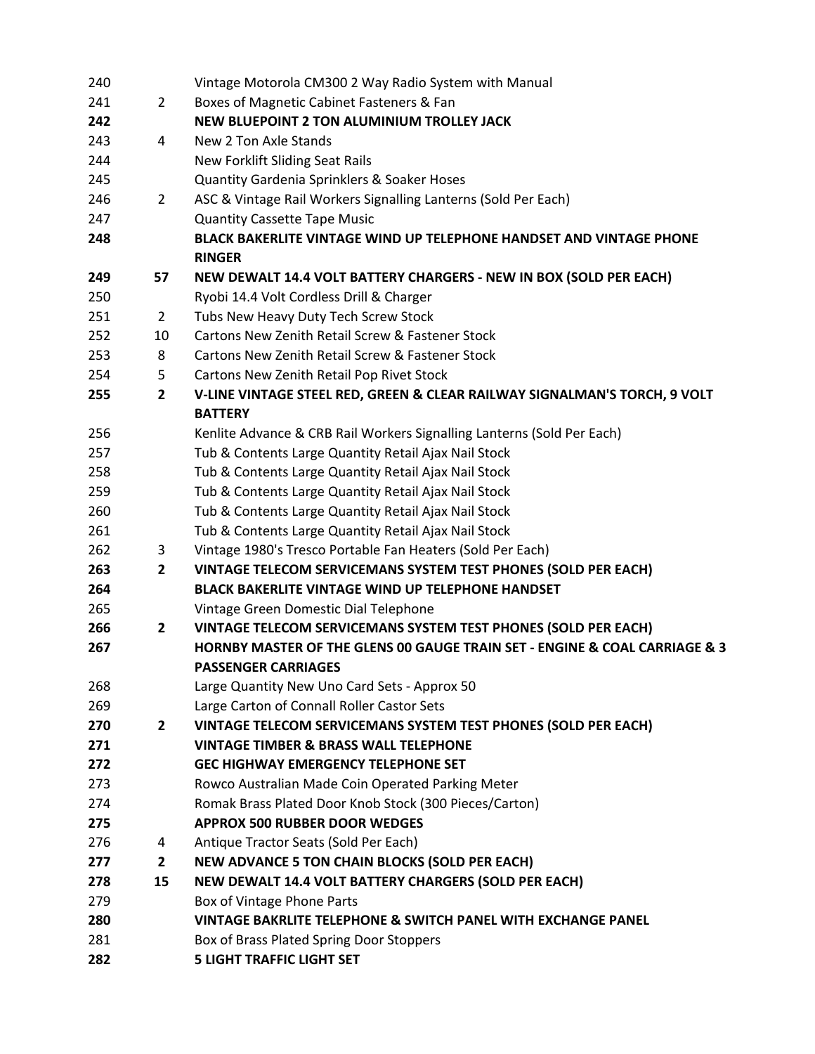| 240 |                | Vintage Motorola CM300 2 Way Radio System with Manual                                     |
|-----|----------------|-------------------------------------------------------------------------------------------|
| 241 | $\overline{2}$ | Boxes of Magnetic Cabinet Fasteners & Fan                                                 |
| 242 |                | <b>NEW BLUEPOINT 2 TON ALUMINIUM TROLLEY JACK</b>                                         |
| 243 | 4              | New 2 Ton Axle Stands                                                                     |
| 244 |                | New Forklift Sliding Seat Rails                                                           |
| 245 |                | Quantity Gardenia Sprinklers & Soaker Hoses                                               |
| 246 | $\overline{2}$ | ASC & Vintage Rail Workers Signalling Lanterns (Sold Per Each)                            |
| 247 |                | <b>Quantity Cassette Tape Music</b>                                                       |
| 248 |                | <b>BLACK BAKERLITE VINTAGE WIND UP TELEPHONE HANDSET AND VINTAGE PHONE</b>                |
|     |                | <b>RINGER</b>                                                                             |
| 249 | 57             | <b>NEW DEWALT 14.4 VOLT BATTERY CHARGERS - NEW IN BOX (SOLD PER EACH)</b>                 |
| 250 |                | Ryobi 14.4 Volt Cordless Drill & Charger                                                  |
| 251 | $\mathbf{2}$   | Tubs New Heavy Duty Tech Screw Stock                                                      |
| 252 | 10             | Cartons New Zenith Retail Screw & Fastener Stock                                          |
| 253 | 8              | Cartons New Zenith Retail Screw & Fastener Stock                                          |
| 254 | 5              | Cartons New Zenith Retail Pop Rivet Stock                                                 |
| 255 | $\overline{2}$ | V-LINE VINTAGE STEEL RED, GREEN & CLEAR RAILWAY SIGNALMAN'S TORCH, 9 VOLT                 |
|     |                | <b>BATTERY</b>                                                                            |
| 256 |                | Kenlite Advance & CRB Rail Workers Signalling Lanterns (Sold Per Each)                    |
| 257 |                | Tub & Contents Large Quantity Retail Ajax Nail Stock                                      |
| 258 |                | Tub & Contents Large Quantity Retail Ajax Nail Stock                                      |
| 259 |                | Tub & Contents Large Quantity Retail Ajax Nail Stock                                      |
| 260 |                | Tub & Contents Large Quantity Retail Ajax Nail Stock                                      |
| 261 |                | Tub & Contents Large Quantity Retail Ajax Nail Stock                                      |
| 262 | 3              | Vintage 1980's Tresco Portable Fan Heaters (Sold Per Each)                                |
| 263 | $\overline{2}$ | VINTAGE TELECOM SERVICEMANS SYSTEM TEST PHONES (SOLD PER EACH)                            |
| 264 |                | <b>BLACK BAKERLITE VINTAGE WIND UP TELEPHONE HANDSET</b>                                  |
| 265 |                | Vintage Green Domestic Dial Telephone                                                     |
| 266 | $\mathbf{2}$   | VINTAGE TELECOM SERVICEMANS SYSTEM TEST PHONES (SOLD PER EACH)                            |
| 267 |                | <b>HORNBY MASTER OF THE GLENS 00 GAUGE TRAIN SET - ENGINE &amp; COAL CARRIAGE &amp; 3</b> |
|     |                | <b>PASSENGER CARRIAGES</b>                                                                |
| 268 |                | Large Quantity New Uno Card Sets - Approx 50                                              |
| 269 |                | Large Carton of Connall Roller Castor Sets                                                |
| 270 | $\mathbf{2}$   | VINTAGE TELECOM SERVICEMANS SYSTEM TEST PHONES (SOLD PER EACH)                            |
| 271 |                | <b>VINTAGE TIMBER &amp; BRASS WALL TELEPHONE</b>                                          |
| 272 |                | <b>GEC HIGHWAY EMERGENCY TELEPHONE SET</b>                                                |
| 273 |                | Rowco Australian Made Coin Operated Parking Meter                                         |
| 274 |                | Romak Brass Plated Door Knob Stock (300 Pieces/Carton)                                    |
| 275 |                | <b>APPROX 500 RUBBER DOOR WEDGES</b>                                                      |
| 276 | 4              | Antique Tractor Seats (Sold Per Each)                                                     |
| 277 | $\mathbf{2}$   | <b>NEW ADVANCE 5 TON CHAIN BLOCKS (SOLD PER EACH)</b>                                     |
| 278 | 15             | NEW DEWALT 14.4 VOLT BATTERY CHARGERS (SOLD PER EACH)                                     |
| 279 |                | Box of Vintage Phone Parts                                                                |
| 280 |                | VINTAGE BAKRLITE TELEPHONE & SWITCH PANEL WITH EXCHANGE PANEL                             |
| 281 |                | Box of Brass Plated Spring Door Stoppers                                                  |
| 282 |                | <b>5 LIGHT TRAFFIC LIGHT SET</b>                                                          |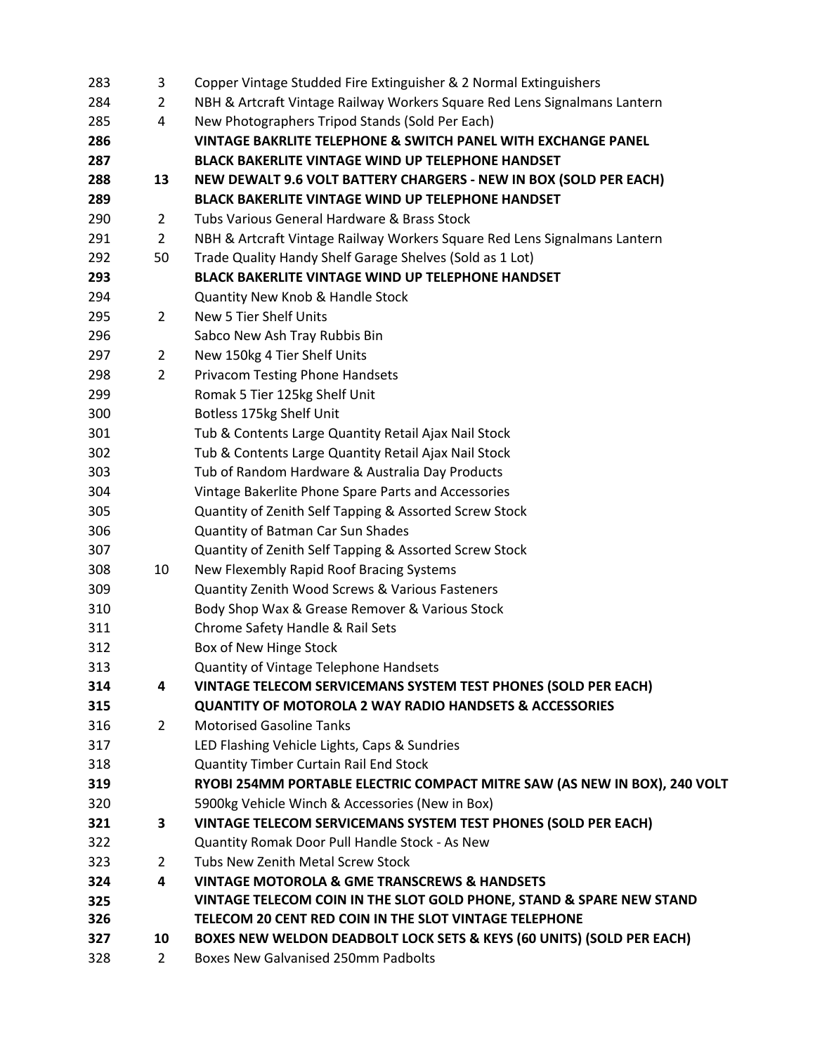| 283 | 3              | Copper Vintage Studded Fire Extinguisher & 2 Normal Extinguishers                |
|-----|----------------|----------------------------------------------------------------------------------|
| 284 | 2              | NBH & Artcraft Vintage Railway Workers Square Red Lens Signalmans Lantern        |
| 285 | 4              | New Photographers Tripod Stands (Sold Per Each)                                  |
| 286 |                | VINTAGE BAKRLITE TELEPHONE & SWITCH PANEL WITH EXCHANGE PANEL                    |
| 287 |                | <b>BLACK BAKERLITE VINTAGE WIND UP TELEPHONE HANDSET</b>                         |
| 288 | 13             | <b>NEW DEWALT 9.6 VOLT BATTERY CHARGERS - NEW IN BOX (SOLD PER EACH)</b>         |
| 289 |                | <b>BLACK BAKERLITE VINTAGE WIND UP TELEPHONE HANDSET</b>                         |
| 290 | $\overline{2}$ | Tubs Various General Hardware & Brass Stock                                      |
| 291 | 2              | NBH & Artcraft Vintage Railway Workers Square Red Lens Signalmans Lantern        |
| 292 | 50             | Trade Quality Handy Shelf Garage Shelves (Sold as 1 Lot)                         |
| 293 |                | BLACK BAKERLITE VINTAGE WIND UP TELEPHONE HANDSET                                |
| 294 |                | Quantity New Knob & Handle Stock                                                 |
| 295 | 2              | New 5 Tier Shelf Units                                                           |
| 296 |                | Sabco New Ash Tray Rubbis Bin                                                    |
| 297 | $\overline{2}$ | New 150kg 4 Tier Shelf Units                                                     |
| 298 | $\overline{2}$ | <b>Privacom Testing Phone Handsets</b>                                           |
| 299 |                | Romak 5 Tier 125kg Shelf Unit                                                    |
| 300 |                | Botless 175kg Shelf Unit                                                         |
| 301 |                | Tub & Contents Large Quantity Retail Ajax Nail Stock                             |
| 302 |                | Tub & Contents Large Quantity Retail Ajax Nail Stock                             |
| 303 |                | Tub of Random Hardware & Australia Day Products                                  |
| 304 |                | Vintage Bakerlite Phone Spare Parts and Accessories                              |
| 305 |                | Quantity of Zenith Self Tapping & Assorted Screw Stock                           |
| 306 |                | Quantity of Batman Car Sun Shades                                                |
| 307 |                | Quantity of Zenith Self Tapping & Assorted Screw Stock                           |
| 308 | 10             | New Flexembly Rapid Roof Bracing Systems                                         |
| 309 |                | Quantity Zenith Wood Screws & Various Fasteners                                  |
| 310 |                | Body Shop Wax & Grease Remover & Various Stock                                   |
| 311 |                | Chrome Safety Handle & Rail Sets                                                 |
| 312 |                | Box of New Hinge Stock                                                           |
| 313 |                | Quantity of Vintage Telephone Handsets                                           |
| 314 | 4              | VINTAGE TELECOM SERVICEMANS SYSTEM TEST PHONES (SOLD PER EACH)                   |
| 315 |                | <b>QUANTITY OF MOTOROLA 2 WAY RADIO HANDSETS &amp; ACCESSORIES</b>               |
| 316 | $\overline{2}$ | <b>Motorised Gasoline Tanks</b>                                                  |
| 317 |                | LED Flashing Vehicle Lights, Caps & Sundries                                     |
| 318 |                | Quantity Timber Curtain Rail End Stock                                           |
| 319 |                | RYOBI 254MM PORTABLE ELECTRIC COMPACT MITRE SAW (AS NEW IN BOX), 240 VOLT        |
| 320 |                | 5900kg Vehicle Winch & Accessories (New in Box)                                  |
| 321 | З.             | VINTAGE TELECOM SERVICEMANS SYSTEM TEST PHONES (SOLD PER EACH)                   |
| 322 |                | Quantity Romak Door Pull Handle Stock - As New                                   |
| 323 | $\overline{2}$ | Tubs New Zenith Metal Screw Stock                                                |
| 324 | 4              | <b>VINTAGE MOTOROLA &amp; GME TRANSCREWS &amp; HANDSETS</b>                      |
| 325 |                | VINTAGE TELECOM COIN IN THE SLOT GOLD PHONE, STAND & SPARE NEW STAND             |
| 326 |                | TELECOM 20 CENT RED COIN IN THE SLOT VINTAGE TELEPHONE                           |
| 327 | 10             | <b>BOXES NEW WELDON DEADBOLT LOCK SETS &amp; KEYS (60 UNITS) (SOLD PER EACH)</b> |
| 328 | 2              | <b>Boxes New Galvanised 250mm Padbolts</b>                                       |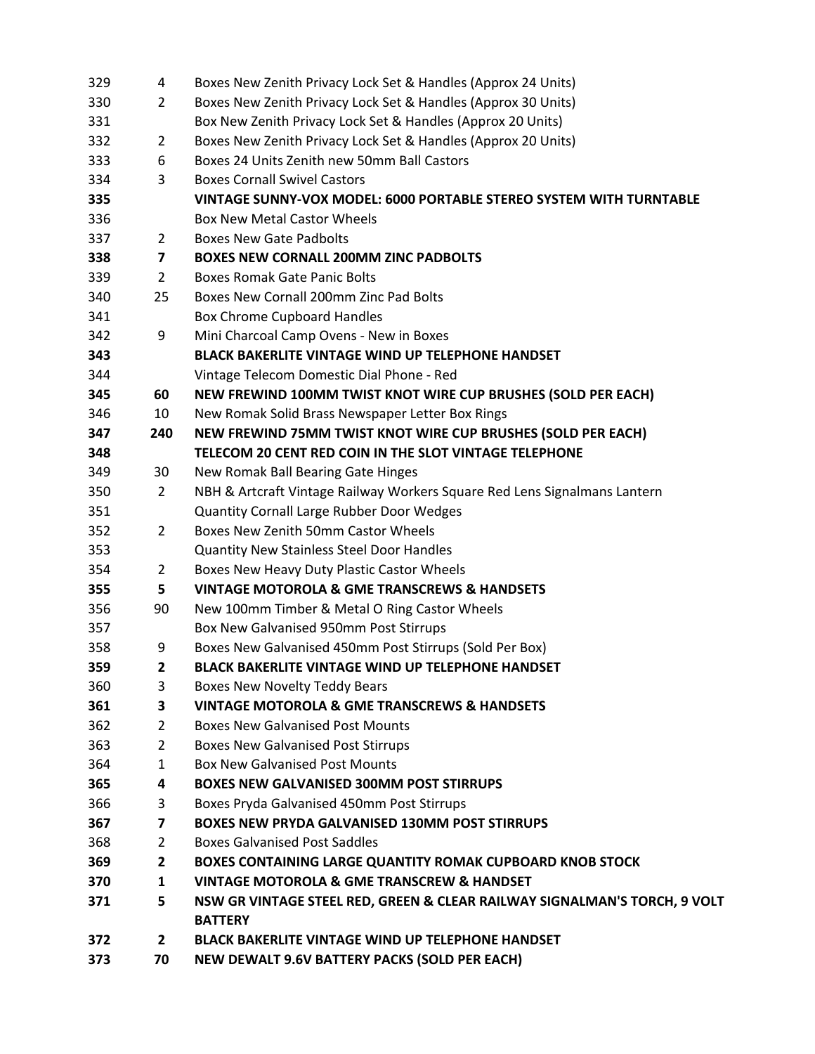| 329 | 4                       | Boxes New Zenith Privacy Lock Set & Handles (Approx 24 Units)             |
|-----|-------------------------|---------------------------------------------------------------------------|
| 330 | 2                       | Boxes New Zenith Privacy Lock Set & Handles (Approx 30 Units)             |
| 331 |                         | Box New Zenith Privacy Lock Set & Handles (Approx 20 Units)               |
| 332 | $\overline{2}$          | Boxes New Zenith Privacy Lock Set & Handles (Approx 20 Units)             |
| 333 | 6                       | Boxes 24 Units Zenith new 50mm Ball Castors                               |
| 334 | 3                       | <b>Boxes Cornall Swivel Castors</b>                                       |
| 335 |                         | VINTAGE SUNNY-VOX MODEL: 6000 PORTABLE STEREO SYSTEM WITH TURNTABLE       |
| 336 |                         | <b>Box New Metal Castor Wheels</b>                                        |
| 337 | 2                       | <b>Boxes New Gate Padbolts</b>                                            |
| 338 | $\overline{7}$          | <b>BOXES NEW CORNALL 200MM ZINC PADBOLTS</b>                              |
| 339 | $\overline{2}$          | Boxes Romak Gate Panic Bolts                                              |
| 340 | 25                      | Boxes New Cornall 200mm Zinc Pad Bolts                                    |
| 341 |                         | <b>Box Chrome Cupboard Handles</b>                                        |
| 342 | 9                       | Mini Charcoal Camp Ovens - New in Boxes                                   |
| 343 |                         | <b>BLACK BAKERLITE VINTAGE WIND UP TELEPHONE HANDSET</b>                  |
| 344 |                         | Vintage Telecom Domestic Dial Phone - Red                                 |
| 345 | 60                      | NEW FREWIND 100MM TWIST KNOT WIRE CUP BRUSHES (SOLD PER EACH)             |
| 346 | 10                      | New Romak Solid Brass Newspaper Letter Box Rings                          |
| 347 | 240                     | NEW FREWIND 75MM TWIST KNOT WIRE CUP BRUSHES (SOLD PER EACH)              |
| 348 |                         | TELECOM 20 CENT RED COIN IN THE SLOT VINTAGE TELEPHONE                    |
| 349 | 30                      | New Romak Ball Bearing Gate Hinges                                        |
| 350 | $\overline{2}$          | NBH & Artcraft Vintage Railway Workers Square Red Lens Signalmans Lantern |
| 351 |                         | <b>Quantity Cornall Large Rubber Door Wedges</b>                          |
| 352 | 2                       | Boxes New Zenith 50mm Castor Wheels                                       |
| 353 |                         | <b>Quantity New Stainless Steel Door Handles</b>                          |
| 354 | $\overline{2}$          | Boxes New Heavy Duty Plastic Castor Wheels                                |
| 355 | 5                       | <b>VINTAGE MOTOROLA &amp; GME TRANSCREWS &amp; HANDSETS</b>               |
| 356 | 90                      | New 100mm Timber & Metal O Ring Castor Wheels                             |
| 357 |                         | Box New Galvanised 950mm Post Stirrups                                    |
| 358 | 9                       | Boxes New Galvanised 450mm Post Stirrups (Sold Per Box)                   |
| 359 | 2                       | <b>BLACK BAKERLITE VINTAGE WIND UP TELEPHONE HANDSET</b>                  |
| 360 | 3                       | Boxes New Novelty Teddy Bears                                             |
| 361 | 3                       | <b>VINTAGE MOTOROLA &amp; GME TRANSCREWS &amp; HANDSETS</b>               |
| 362 | 2                       | <b>Boxes New Galvanised Post Mounts</b>                                   |
| 363 | $\overline{2}$          | <b>Boxes New Galvanised Post Stirrups</b>                                 |
| 364 | $\mathbf{1}$            | <b>Box New Galvanised Post Mounts</b>                                     |
| 365 | 4                       | <b>BOXES NEW GALVANISED 300MM POST STIRRUPS</b>                           |
| 366 | 3                       | Boxes Pryda Galvanised 450mm Post Stirrups                                |
| 367 | $\overline{\mathbf{z}}$ | <b>BOXES NEW PRYDA GALVANISED 130MM POST STIRRUPS</b>                     |
| 368 | $\overline{2}$          | <b>Boxes Galvanised Post Saddles</b>                                      |
| 369 | $\mathbf{2}$            | <b>BOXES CONTAINING LARGE QUANTITY ROMAK CUPBOARD KNOB STOCK</b>          |
| 370 | $\mathbf{1}$            | <b>VINTAGE MOTOROLA &amp; GME TRANSCREW &amp; HANDSET</b>                 |
| 371 | 5                       | NSW GR VINTAGE STEEL RED, GREEN & CLEAR RAILWAY SIGNALMAN'S TORCH, 9 VOLT |
|     |                         | <b>BATTERY</b>                                                            |
| 372 | $\mathbf{2}$            | <b>BLACK BAKERLITE VINTAGE WIND UP TELEPHONE HANDSET</b>                  |
| 373 | 70                      | NEW DEWALT 9.6V BATTERY PACKS (SOLD PER EACH)                             |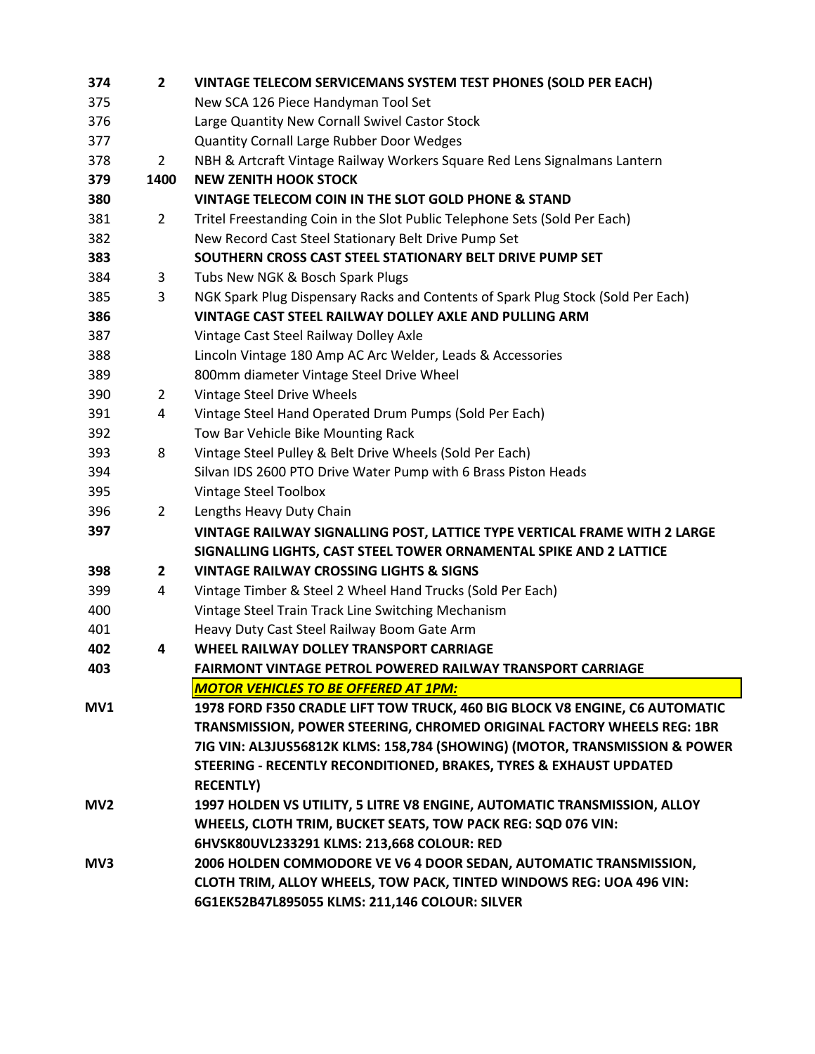| 374             | $\mathbf{2}$   | <b>VINTAGE TELECOM SERVICEMANS SYSTEM TEST PHONES (SOLD PER EACH)</b>            |
|-----------------|----------------|----------------------------------------------------------------------------------|
| 375             |                | New SCA 126 Piece Handyman Tool Set                                              |
| 376             |                | Large Quantity New Cornall Swivel Castor Stock                                   |
| 377             |                | <b>Quantity Cornall Large Rubber Door Wedges</b>                                 |
| 378             | $2^{\circ}$    | NBH & Artcraft Vintage Railway Workers Square Red Lens Signalmans Lantern        |
| 379             | 1400           | <b>NEW ZENITH HOOK STOCK</b>                                                     |
| 380             |                | VINTAGE TELECOM COIN IN THE SLOT GOLD PHONE & STAND                              |
| 381             | $\overline{2}$ | Tritel Freestanding Coin in the Slot Public Telephone Sets (Sold Per Each)       |
| 382             |                | New Record Cast Steel Stationary Belt Drive Pump Set                             |
| 383             |                | SOUTHERN CROSS CAST STEEL STATIONARY BELT DRIVE PUMP SET                         |
| 384             | 3              | Tubs New NGK & Bosch Spark Plugs                                                 |
| 385             | 3              | NGK Spark Plug Dispensary Racks and Contents of Spark Plug Stock (Sold Per Each) |
| 386             |                | VINTAGE CAST STEEL RAILWAY DOLLEY AXLE AND PULLING ARM                           |
| 387             |                | Vintage Cast Steel Railway Dolley Axle                                           |
| 388             |                | Lincoln Vintage 180 Amp AC Arc Welder, Leads & Accessories                       |
| 389             |                | 800mm diameter Vintage Steel Drive Wheel                                         |
| 390             | $\mathbf{2}$   | Vintage Steel Drive Wheels                                                       |
| 391             | 4              | Vintage Steel Hand Operated Drum Pumps (Sold Per Each)                           |
| 392             |                | Tow Bar Vehicle Bike Mounting Rack                                               |
| 393             | 8              | Vintage Steel Pulley & Belt Drive Wheels (Sold Per Each)                         |
| 394             |                | Silvan IDS 2600 PTO Drive Water Pump with 6 Brass Piston Heads                   |
| 395             |                | Vintage Steel Toolbox                                                            |
| 396             | $\overline{2}$ | Lengths Heavy Duty Chain                                                         |
| 397             |                | VINTAGE RAILWAY SIGNALLING POST, LATTICE TYPE VERTICAL FRAME WITH 2 LARGE        |
|                 |                | SIGNALLING LIGHTS, CAST STEEL TOWER ORNAMENTAL SPIKE AND 2 LATTICE               |
| 398             | $\mathbf{2}$   | <b>VINTAGE RAILWAY CROSSING LIGHTS &amp; SIGNS</b>                               |
| 399             | 4              | Vintage Timber & Steel 2 Wheel Hand Trucks (Sold Per Each)                       |
| 400             |                | Vintage Steel Train Track Line Switching Mechanism                               |
| 401             |                | Heavy Duty Cast Steel Railway Boom Gate Arm                                      |
| 402             | 4              | WHEEL RAILWAY DOLLEY TRANSPORT CARRIAGE                                          |
| 403             |                | FAIRMONT VINTAGE PETROL POWERED RAILWAY TRANSPORT CARRIAGE                       |
|                 |                | <b>MOTOR VEHICLES TO BE OFFERED AT 1PM:</b>                                      |
| MV1             |                | 1978 FORD F350 CRADLE LIFT TOW TRUCK, 460 BIG BLOCK V8 ENGINE, C6 AUTOMATIC      |
|                 |                | TRANSMISSION, POWER STEERING, CHROMED ORIGINAL FACTORY WHEELS REG: 1BR           |
|                 |                | 7IG VIN: AL3JUS56812K KLMS: 158,784 (SHOWING) (MOTOR, TRANSMISSION & POWER       |
|                 |                | STEERING - RECENTLY RECONDITIONED, BRAKES, TYRES & EXHAUST UPDATED               |
|                 |                | <b>RECENTLY)</b>                                                                 |
| MV <sub>2</sub> |                | 1997 HOLDEN VS UTILITY, 5 LITRE V8 ENGINE, AUTOMATIC TRANSMISSION, ALLOY         |
|                 |                | WHEELS, CLOTH TRIM, BUCKET SEATS, TOW PACK REG: SQD 076 VIN:                     |
|                 |                | 6HVSK80UVL233291 KLMS: 213,668 COLOUR: RED                                       |
| MV3             |                | 2006 HOLDEN COMMODORE VE V6 4 DOOR SEDAN, AUTOMATIC TRANSMISSION,                |
|                 |                | CLOTH TRIM, ALLOY WHEELS, TOW PACK, TINTED WINDOWS REG: UOA 496 VIN:             |
|                 |                | 6G1EK52B47L895055 KLMS: 211,146 COLOUR: SILVER                                   |